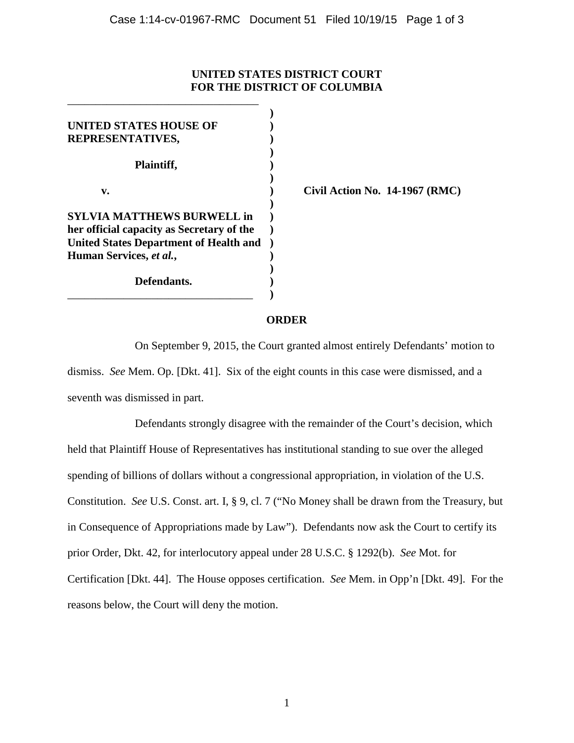## **UNITED STATES DISTRICT COURT FOR THE DISTRICT OF COLUMBIA**

| UNITED STATES HOUSE OF<br>REPRESENTATIVES,                                                 |  |
|--------------------------------------------------------------------------------------------|--|
| Plaintiff,                                                                                 |  |
| v.                                                                                         |  |
| <b>SYLVIA MATTHEWS BURWELL in</b>                                                          |  |
| her official capacity as Secretary of the<br><b>United States Department of Health and</b> |  |
| Human Services, et al.,                                                                    |  |
| Defendants.                                                                                |  |

\_\_\_\_\_\_\_\_\_\_\_\_\_\_\_\_\_\_\_\_\_\_\_\_\_\_\_\_\_\_\_\_\_\_

**v. ) Civil Action No. 14-1967 (RMC)**

## **ORDER**

On September 9, 2015, the Court granted almost entirely Defendants' motion to dismiss. *See* Mem. Op. [Dkt. 41]. Six of the eight counts in this case were dismissed, and a seventh was dismissed in part.

Defendants strongly disagree with the remainder of the Court's decision, which held that Plaintiff House of Representatives has institutional standing to sue over the alleged spending of billions of dollars without a congressional appropriation, in violation of the U.S. Constitution. *See* U.S. Const. art. I, § 9, cl. 7 ("No Money shall be drawn from the Treasury, but in Consequence of Appropriations made by Law"). Defendants now ask the Court to certify its prior Order, Dkt. 42, for interlocutory appeal under 28 U.S.C. § 1292(b). *See* Mot. for Certification [Dkt. 44]. The House opposes certification. *See* Mem. in Opp'n [Dkt. 49]. For the reasons below, the Court will deny the motion.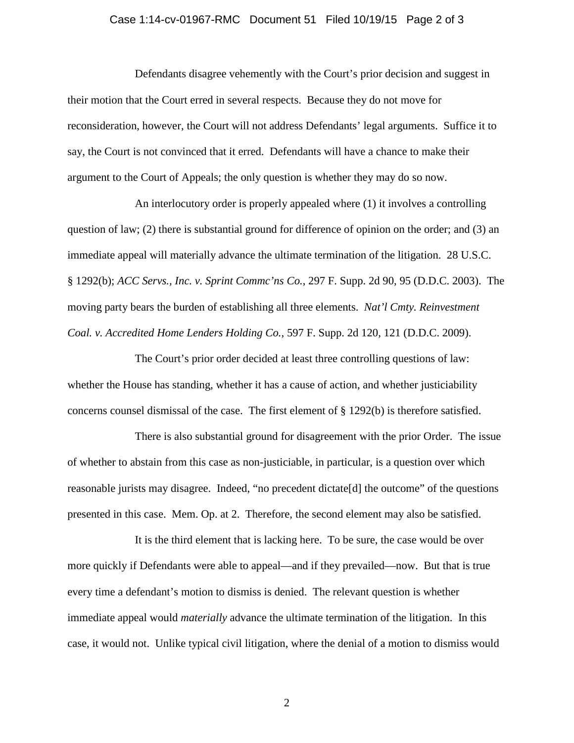## Case 1:14-cv-01967-RMC Document 51 Filed 10/19/15 Page 2 of 3

Defendants disagree vehemently with the Court's prior decision and suggest in their motion that the Court erred in several respects. Because they do not move for reconsideration, however, the Court will not address Defendants' legal arguments. Suffice it to say, the Court is not convinced that it erred. Defendants will have a chance to make their argument to the Court of Appeals; the only question is whether they may do so now.

An interlocutory order is properly appealed where (1) it involves a controlling question of law; (2) there is substantial ground for difference of opinion on the order; and (3) an immediate appeal will materially advance the ultimate termination of the litigation. 28 U.S.C. § 1292(b); *ACC Servs., Inc. v. Sprint Commc'ns Co.*, 297 F. Supp. 2d 90, 95 (D.D.C. 2003). The moving party bears the burden of establishing all three elements. *Nat'l Cmty. Reinvestment Coal. v. Accredited Home Lenders Holding Co.*, 597 F. Supp. 2d 120, 121 (D.D.C. 2009).

The Court's prior order decided at least three controlling questions of law: whether the House has standing, whether it has a cause of action, and whether justiciability concerns counsel dismissal of the case. The first element of § 1292(b) is therefore satisfied.

There is also substantial ground for disagreement with the prior Order. The issue of whether to abstain from this case as non-justiciable, in particular, is a question over which reasonable jurists may disagree. Indeed, "no precedent dictate[d] the outcome" of the questions presented in this case. Mem. Op. at 2. Therefore, the second element may also be satisfied.

It is the third element that is lacking here. To be sure, the case would be over more quickly if Defendants were able to appeal—and if they prevailed—now. But that is true every time a defendant's motion to dismiss is denied. The relevant question is whether immediate appeal would *materially* advance the ultimate termination of the litigation. In this case, it would not. Unlike typical civil litigation, where the denial of a motion to dismiss would

2